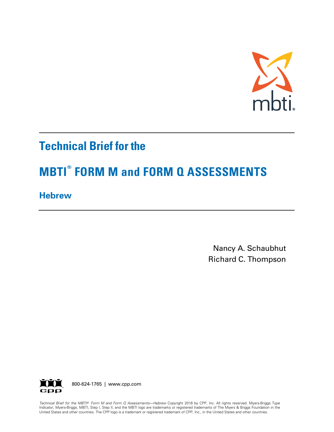

# **Technical Brief for the**

# **MBTI® FORM M and FORM Q ASSESSMENTS**

**Hebrew** 

Nancy A. Schaubhut Richard C. Thompson



*Technical Brief for the MBTI® Form M and Form Q Assessments—Hebrew* Copyright 2016 by CPP, Inc. All rights reserved. Myers-Briggs Type<br>Indicator, Myers-Briggs, MBTI, Step I, Step II, and the MBTI logo are trademarks or r Indicator, Myers-Briggs, MBTI, Step I, Step II, and the MBTI logo are trademarks or registered trademarks of The Myers & Briggs Foundation in the United States and other countries. The CPP logo is a trademark or registered trademark of CPP, Inc., in the United States and other countries.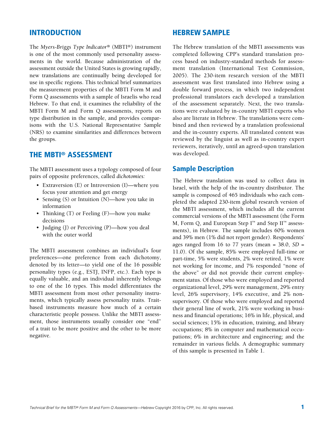# INTRODUCTION

The *Myers-Briggs Type Indicator®* (MBTI®) instrument is one of the most commonly used personality assessments in the world. Because administration of the assessment outside the United States is growing rapidly, new translations are continually being developed for use in specific regions. This technical brief summarizes the measurement properties of the MBTI Form M and Form Q assessments with a sample of Israelis who read Hebrew. To that end, it examines the reliability of the MBTI Form M and Form Q assessments, reports on type distribution in the sample, and provides comparisons with the U.S. National Representative Sample (NRS) to examine similarities and differences between the groups.

## THE MBTI® ASSESSMENT

The MBTI assessment uses a typology composed of four pairs of opposite preferences, called *dichotomies:*

- Extraversion (E) or Introversion (I)—where you focus your attention and get energy
- Sensing (S) or Intuition (N)—how you take in information
- Thinking (T) or Feeling (F)—how you make decisions
- Judging (J) or Perceiving (P)—how you deal with the outer world

The MBTI assessment combines an individual's four preferences—one preference from each dichotomy, denoted by its letter—to yield one of the 16 possible personality types (e.g., ESTJ, INFP, etc.). Each type is equally valuable, and an individual inherently belongs to one of the 16 types. This model differentiates the MBTI assessment from most other personality instruments, which typically assess personality traits. Traitbased instruments measure how much of a certain characteristic people possess. Unlike the MBTI assessment, those instruments usually consider one "end" of a trait to be more positive and the other to be more negative.

### HEBREW SAMPLE

The Hebrew translation of the MBTI assessments was completed following CPP's standard translation process based on industry-standard methods for assessment translation (International Test Commission, 2005). The 230-item research version of the MBTI assessment was first translated into Hebrew using a double forward process, in which two independent professional translators each developed a translation of the assessment separately. Next, the two translations were evaluated by in-country MBTI experts who also are literate in Hebrew. The translations were combined and then reviewed by a translation professional and the in-country experts. All translated content was reviewed by the linguist as well as in-country expert reviewers, iteratively, until an agreed-upon translation was developed.

## Sample Description

The Hebrew translation was used to collect data in Israel, with the help of the in-country distributor. The sample is composed of 465 individuals who each completed the adapted 230-item global research version of the MBTI assessment, which includes all the current commercial versions of the MBTI assessment (the Form M, Form Q, and European Step  $I^{\mathbb{N}}$  and Step  $II^{\mathbb{N}}$  assessments), in Hebrew. The sample includes 60% women and 39% men (1% did not report gender). Respondents' ages ranged from 16 to 77 years (mean = 38.0, *SD* = 11.0). Of the sample, 85% were employed full-time or part-time, 5% were students, 2% were retired, 1% were not working for income, and 7% responded "none of the above" or did not provide their current employment status. Of those who were employed and reported organizational level, 29% were management, 29% entry level, 26% supervisory, 14% executive, and 2% nonsupervisory. Of those who were employed and reported their general line of work, 21% were working in business and financial operations; 16% in life, physical, and social sciences; 15% in education, training, and library occupations; 8% in computer and mathematical occupations; 6% in architecture and engineering; and the remainder in various fields. A demographic summary of this sample is presented in Table 1.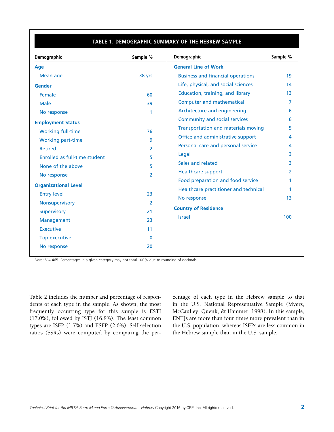### **TABLE 1. DEMOGRAPHIC SUMMARY OF THE HEBREW SAMPLE**

| Demographic                   | Sample %       | Demographic                                | Sample % |  |
|-------------------------------|----------------|--------------------------------------------|----------|--|
| Age                           |                | <b>General Line of Work</b>                |          |  |
| Mean age                      | 38 yrs         | <b>Business and financial operations</b>   | 19       |  |
| <b>Gender</b>                 |                | Life, physical, and social sciences        | 14       |  |
| Female                        | 60             | Education, training, and library           | 13       |  |
| <b>Male</b>                   | 39             | <b>Computer and mathematical</b>           | 7        |  |
| No response                   | 1              | Architecture and engineering               | 6        |  |
| <b>Employment Status</b>      |                | <b>Community and social services</b>       | 6        |  |
| <b>Working full-time</b>      | 76             | <b>Transportation and materials moving</b> | 5        |  |
| <b>Working part-time</b>      | 9              | Office and administrative support          | 4        |  |
| <b>Retired</b>                | 2              | Personal care and personal service         | 4        |  |
| Enrolled as full-time student | 5              | Legal                                      | 3        |  |
| None of the above             | 5              | Sales and related                          | 3        |  |
| No response                   | $\overline{2}$ | <b>Healthcare support</b>                  | 2        |  |
|                               |                | Food preparation and food service          |          |  |
| <b>Organizational Level</b>   |                | Healthcare practitioner and technical      | 1        |  |
| <b>Entry level</b>            | 23             | No response                                | 13       |  |
| Nonsupervisory                | 2              | <b>Country of Residence</b>                |          |  |
| <b>Supervisory</b>            | 21             | <b>Israel</b>                              | 100      |  |
| Management                    | 23             |                                            |          |  |
| <b>Executive</b>              | 11             |                                            |          |  |
| Top executive                 | $\mathbf{0}$   |                                            |          |  |
| No response                   | 20             |                                            |          |  |

*Note: N* = 465. Percentages in a given category may not total 100% due to rounding of decimals.

Table 2 includes the number and percentage of respondents of each type in the sample. As shown, the most frequently occurring type for this sample is ESTJ (17.0%), followed by ISTJ (16.8%). The least common types are ISFP (1.7%) and ESFP (2.6%). Self-selection ratios (SSRs) were computed by comparing the percentage of each type in the Hebrew sample to that in the U.S. National Representative Sample (Myers, McCaulley, Quenk, & Hammer, 1998). In this sample, ENTJs are more than four times more prevalent than in the U.S. population, whereas ISFPs are less common in the Hebrew sample than in the U.S. sample.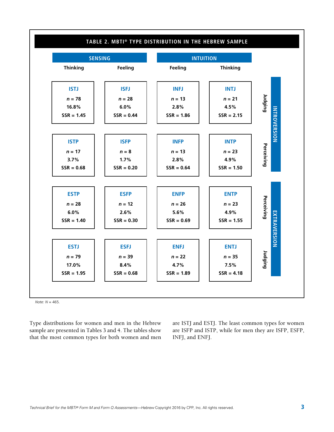

*Note: N* = 465.

Type distributions for women and men in the Hebrew sample are presented in Tables 3 and 4. The tables show that the most common types for both women and men

are ISTJ and ESTJ. The least common types for women are ISFP and ISTP, while for men they are ISFP, ESFP, INFJ, and ENFJ.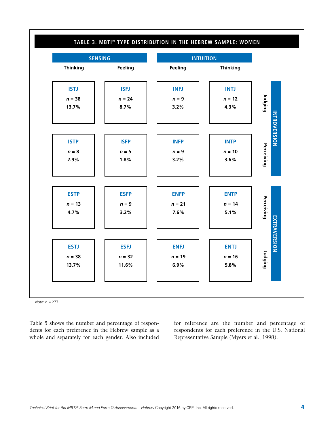

*Note: n* = 277.

Table 5 shows the number and percentage of respondents for each preference in the Hebrew sample as a whole and separately for each gender. Also included for reference are the number and percentage of respondents for each preference in the U.S. National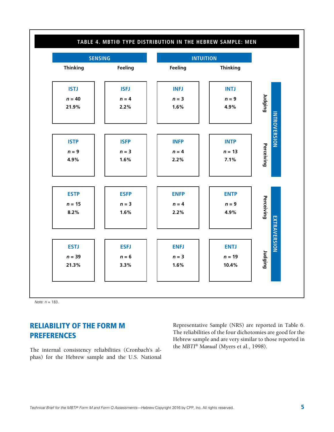

*Note: n* = 183.

# RELIABILITY OF THE FORM M PREFERENCES

The internal consistency reliabilities (Cronbach's alphas) for the Hebrew sample and the U.S. National Representative Sample (NRS) are reported in Table 6. The reliabilities of the four dichotomies are good for the Hebrew sample and are very similar to those reported in the *MBTI*® *Manual* (Myers et al., 1998).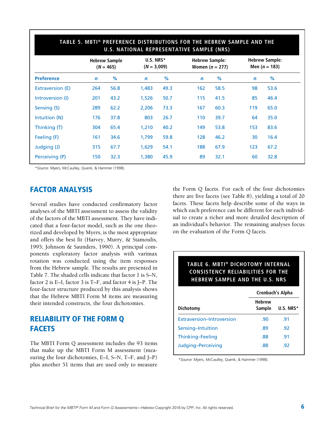| TABLE 5. MBTI® PREFERENCE DISTRIBUTIONS FOR THE HEBREW SAMPLE AND THE<br>U.S. NATIONAL REPRESENTATIVE SAMPLE (NRS) |              |                                     |             |                            |                       |                   |                                          |      |
|--------------------------------------------------------------------------------------------------------------------|--------------|-------------------------------------|-------------|----------------------------|-----------------------|-------------------|------------------------------------------|------|
|                                                                                                                    |              | <b>Hebrew Sample</b><br>$(N = 465)$ |             | U.S. NRS*<br>$(N = 3,009)$ | <b>Hebrew Sample:</b> | Women $(n = 277)$ | <b>Hebrew Sample:</b><br>Men $(n = 183)$ |      |
| <b>Preference</b>                                                                                                  | $\mathsf{n}$ | %                                   | $\mathbf n$ | %                          | $\mathbf n$           | %                 | $\mathbf n$                              | %    |
| Extraversion (E)                                                                                                   | 264          | 56.8                                | 1,483       | 49.3                       | 162                   | 58.5              | 98                                       | 53.6 |
| Introversion (I)                                                                                                   | 201          | 43.2                                | 1,526       | 50.7                       | 115                   | 41.5              | 85                                       | 46.4 |
| Sensing (S)                                                                                                        | 289          | 62.2                                | 2,206       | 73.3                       | 167                   | 60.3              | 119                                      | 65.0 |
| Intuition (N)                                                                                                      | 176          | 37.8                                | 803         | 26.7                       | 110                   | 39.7              | 64                                       | 35.0 |
| Thinking (T)                                                                                                       | 304          | 65.4                                | 1,210       | 40.2                       | 149                   | 53.8              | 153                                      | 83.6 |
| Feeling (F)                                                                                                        | 161          | 34.6                                | 1,799       | 59.8                       | 128                   | 46.2              | 30                                       | 16.4 |
| Judging (J)                                                                                                        | 315          | 67.7                                | 1,629       | 54.1                       | 188                   | 67.9              | 123                                      | 67.2 |
| Perceiving (P)                                                                                                     | 150          | 32.3                                | 1,380       | 45.9                       | 89                    | 32.1              | 60                                       | 32.8 |

\**Source:* Myers, McCaulley, Quenk, & Hammer (1998).

# FACTOR ANALYSIS

Several studies have conducted confirmatory factor analyses of the MBTI assessment to assess the validity of the factors of the MBTI assessment. They have indicated that a four-factor model, such as the one theorized and developed by Myers, is the most appropriate and offers the best fit (Harvey, Murry, & Stamoulis, 1995; Johnson & Saunders, 1990). A principal components exploratory factor analysis with varimax rotation was conducted using the item responses from the Hebrew sample. The results are presented in Table 7. The shaded cells indicate that factor 1 is S–N, factor 2 is E–I, factor 3 is T–F, and factor 4 is J–P. The four-factor structure produced by this analysis shows that the Hebrew MBTI Form M items are measuring their intended constructs, the four dichotomies.

# RELIABILITY OF THE FORM Q **FACETS**

The MBTI Form Q assessment includes the 93 items that make up the MBTI Form M assessment (measuring the four dichotomies, E–I, S–N, T–F, and J–P) plus another 51 items that are used only to measure the Form Q facets. For each of the four dichotomies there are five facets (see Table 8), yielding a total of 20 facets. These facets help describe some of the ways in which each preference can be different for each individual to create a richer and more detailed description of an individual's behavior. The remaining analyses focus on the evaluation of the Form Q facets.

### **TABLE 6. MBTI® DICHOTOMY INTERNAL CONSISTENCY RELIABILITIES FOR THE HEBREW SAMPLE AND THE U.S. NRS**

|                           | <b>Cronbach's Alpha</b> |              |  |  |
|---------------------------|-------------------------|--------------|--|--|
| Dichotomy                 | <b>Hebrew</b><br>Sample | U.S. NRS $*$ |  |  |
| Extraversion-Introversion | .90                     | .91          |  |  |
| Sensing-Intuition         | .89                     | -92          |  |  |
| Thinking-Feeling          | .88                     | .91          |  |  |
| Judging-Perceiving        | .88                     | -92          |  |  |

\**Source:* Myers, McCaulley, Quenk, & Hammer (1998).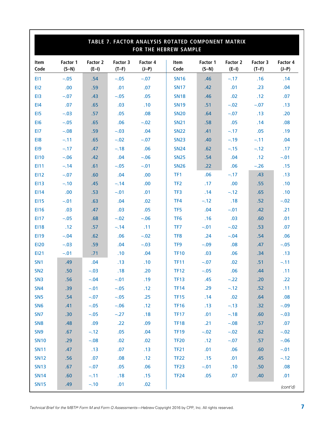| TABLE 7. FACTOR ANALYSIS ROTATED COMPONENT MATRIX<br>FOR THE HEBREW SAMPLE |                     |                     |                     |                     |                 |                     |                     |                     |                     |
|----------------------------------------------------------------------------|---------------------|---------------------|---------------------|---------------------|-----------------|---------------------|---------------------|---------------------|---------------------|
| <b>Item</b><br>Code                                                        | Factor 1<br>$(S-N)$ | Factor 2<br>$(E-I)$ | Factor 3<br>$(T-F)$ | Factor 4<br>$(J-P)$ | Item<br>Code    | Factor 1<br>$(S-N)$ | Factor 2<br>$(E-I)$ | Factor 3<br>$(T-F)$ | Factor 4<br>$(J-P)$ |
| EI1                                                                        | $-.05$              | .54                 | $-.05$              | $-.07$              | <b>SN16</b>     | .46                 | $-.17$              | .16                 | .14                 |
| EI <sub>2</sub>                                                            | .00                 | .59                 | .01                 | .07                 | <b>SN17</b>     | .42                 | .01                 | .23                 | .04                 |
| E <sub>13</sub>                                                            | $-.07$              | .43                 | $-.05$              | .05                 | <b>SN18</b>     | .46                 | .02                 | .12                 | .07                 |
| E <sub>14</sub>                                                            | .07                 | .65                 | .03                 | .10                 | <b>SN19</b>     | .51                 | $-.02$              | $-.07$              | .13                 |
| EI5                                                                        | $-.03$              | .57                 | .05                 | .08                 | <b>SN20</b>     | .64                 | $-.07$              | .13                 | .20                 |
| EI6                                                                        | $-.05$              | .65                 | .06                 | $-.02$              | <b>SN21</b>     | .58                 | .05                 | .14                 | .08                 |
| EI7                                                                        | $-.08$              | .59                 | $-.03$              | .04                 | <b>SN22</b>     | .41                 | $-.17$              | .05                 | .19                 |
| EI8                                                                        | $-.11$              | .65                 | $-.02$              | $-.07$              | <b>SN23</b>     | .40                 | $-.19$              | $-.11$              | .04                 |
| E <sub>19</sub>                                                            | $-.17$              | .47                 | $-.18$              | .06                 | <b>SN24</b>     | .62                 | $-.15$              | $-.12$              | .17                 |
| <b>EI10</b>                                                                | $-.06$              | .42                 | .04                 | $-.06$              | <b>SN25</b>     | .54                 | .04                 | .12                 | $-.01$              |
| EI11                                                                       | $-.14$              | .61                 | $-.05$              | $-.01$              | <b>SN26</b>     | .22                 | .06                 | $-.26$              | .15                 |
| EI12                                                                       | $-.07$              | .60                 | .04                 | .00.                | TF <sub>1</sub> | .06                 | $-.17$              | .43                 | .13                 |
| <b>EI13</b>                                                                | $-.10$              | .45                 | $-.14$              | .00.                | TF <sub>2</sub> | .17                 | .00                 | .55                 | .10                 |
| EI14                                                                       | .00                 | .53                 | $-.01$              | .01                 | TF3             | .14                 | $-.12$              | .65                 | .10                 |
| <b>EI15</b>                                                                | $-.01$              | .63                 | .04                 | .02                 | TF4             | $-.12$              | .18                 | .52                 | $-.02$              |
| <b>EI16</b>                                                                | .03                 | .47                 | .03                 | .05                 | TF5             | .04                 | $-.01$              | .42                 | .21                 |
| E117                                                                       | $-.05$              | .68                 | $-.02$              | $-.06$              | TF <sub>6</sub> | .16                 | .03                 | .60                 | .01                 |
| <b>EI18</b>                                                                | .12                 | .57                 | $-.14$              | .11                 | TF7             | $-.01$              | $-.02$              | .53                 | .07                 |
| EI19                                                                       | $-.04$              | .62                 | .06                 | $-.02$              | TF8             | .24                 | $-.04$              | .54                 | .06                 |
| <b>EI20</b>                                                                | $-.03$              | .59                 | .04                 | $-.03$              | TF <sub>9</sub> | $-.09$              | .08                 | .47                 | $-.05$              |
| EI21                                                                       | $-.01$              | .71                 | .10                 | .04                 | <b>TF10</b>     | .03                 | .06                 | .34                 | .13                 |
| SN <sub>1</sub>                                                            | .49                 | .04                 | .13                 | .10                 | <b>TF11</b>     | $-.07$              | .02                 | .51                 | $-.11$              |
| SN <sub>2</sub>                                                            | .50                 | $-.03$              | .18                 | .20                 | <b>TF12</b>     | $-.05$              | .06                 | .44                 | .11                 |
| SN <sub>3</sub>                                                            | .56                 | $-.04$              | $-.01$              | .19                 | TF13            | .45                 | $-.22$              | .20                 | .22                 |
| <b>SN4</b>                                                                 | .39                 | $-.01$              | $-.05$              | .12                 | <b>TF14</b>     | .29                 | $-.12$              | .52                 | .11                 |
| SN <sub>5</sub>                                                            | .54                 | $-.07$              | $-.05$              | .25                 | <b>TF15</b>     | .14                 | .02                 | .64                 | .08                 |
| SN <sub>6</sub>                                                            | .41                 | $-.05$              | $-.06$              | .12                 | <b>TF16</b>     | .13                 | $-.13$              | .32                 | $-.09$              |
| SN <sub>7</sub>                                                            | .30                 | $-.05$              | $-.27$              | .18                 | <b>TF17</b>     | .01                 | $-.18$              | .60                 | $-.03$              |
| SN <sub>8</sub>                                                            | .48                 | .09                 | .22                 | .09                 | <b>TF18</b>     | .21                 | $-.08$              | .57                 | .07                 |
| SN <sub>9</sub>                                                            | .67                 | $-.12$              | .05                 | .04                 | <b>TF19</b>     | $-.02$              | $-.02$              | .62                 | $-.02$              |
| <b>SN10</b>                                                                | .29                 | $-.08$              | .02                 | .02                 | <b>TF20</b>     | .12                 | $-.07$              | .57                 | $-.06$              |
| <b>SN11</b>                                                                | .47                 | .13                 | .07                 | .13                 | <b>TF21</b>     | .01                 | .06                 | .60                 | $-.01$              |
| <b>SN12</b>                                                                | .56                 | .07                 | .08                 | .12                 | <b>TF22</b>     | .15                 | .01                 | .45                 | $-.12$              |
| <b>SN13</b>                                                                | .67                 | $-.07$              | .05                 | .06                 | <b>TF23</b>     | $-.01$              | .10                 | .50                 | .08                 |
| <b>SN14</b>                                                                | .60                 | $-.11$              | .18                 | .15                 | <b>TF24</b>     | .05                 | .07                 | .40                 | .01                 |
| <b>SN15</b>                                                                | .49                 | $-.10$              | .01                 | .02                 |                 |                     |                     |                     | (cont'd)            |

*Technical Brief for the MBTI® Form M and Form Q Assessments—Hebrew* Copyright 2016 by CPP, Inc. All rights reserved.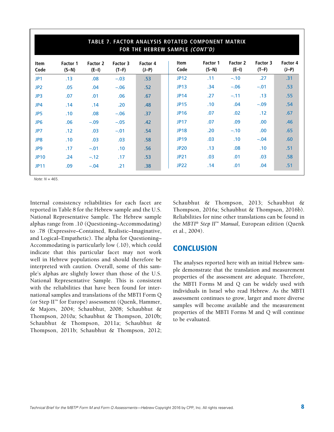| TABLE 7. FACTOR ANALYSIS ROTATED COMPONENT MATRIX<br>FOR THE HEBREW SAMPLE (CONT'D) |                     |                     |                     |                     |                     |                     |                   |                     |                     |
|-------------------------------------------------------------------------------------|---------------------|---------------------|---------------------|---------------------|---------------------|---------------------|-------------------|---------------------|---------------------|
| Item<br>Code                                                                        | Factor 1<br>$(S-N)$ | Factor 2<br>$(E-I)$ | Factor 3<br>$(T-F)$ | Factor 4<br>$(J-P)$ | <b>Item</b><br>Code | Factor 1<br>$(S-N)$ | Factor 2<br>(E-I) | Factor 3<br>$(T-F)$ | Factor 4<br>$(J-P)$ |
| JP1                                                                                 | .13                 | .08                 | $-.03$              | .53                 | <b>JP12</b>         | .11                 | $-.10$            | .27                 | .31                 |
| JP <sub>2</sub>                                                                     | .05                 | .04                 | $-.06$              | .52                 | <b>JP13</b>         | .34                 | $-.06$            | $-.01$              | .53                 |
| JP3                                                                                 | .07                 | .01                 | .06                 | .67                 | <b>JP14</b>         | .27                 | $-.11$            | .13                 | .55                 |
| JP4                                                                                 | .14                 | .14                 | .20                 | .48                 | <b>JP15</b>         | .10                 | .04               | $-.09$              | .54                 |
| JP5                                                                                 | .10                 | .08                 | $-.06$              | .37                 | <b>JP16</b>         | .07                 | .02               | .12                 | .67                 |
| JP <sub>6</sub>                                                                     | .06                 | $-.09$              | $-.05$              | .42                 | <b>JP17</b>         | .07                 | .09               | .00.                | .46                 |
| JP7                                                                                 | .12                 | .03                 | $-.01$              | .54                 | <b>JP18</b>         | .20                 | $-.10$            | .00.                | .65                 |
| JP8                                                                                 | .10                 | .03                 | .03                 | .58                 | <b>JP19</b>         | .03                 | .10               | $-.04$              | .60                 |
| JP9                                                                                 | .17                 | $-.01$              | .10                 | .56                 | <b>JP20</b>         | .13                 | .08               | .10                 | .51                 |
| <b>JP10</b>                                                                         | .24                 | $-.12$              | .17                 | .53                 | <b>JP21</b>         | .03                 | .01               | .03                 | .58                 |
| <b>JP11</b>                                                                         | .09                 | $-.04$              | .21                 | .38                 | <b>JP22</b>         | .14                 | .01               | .04                 | .51                 |

*Note: N* = 465.

Internal consistency reliabilities for each facet are reported in Table 8 for the Hebrew sample and the U.S. National Representative Sample. The Hebrew sample alphas range from .10 (Questioning–Accommodating) to .78 (Expressive–Contained, Realistic–Imaginative, and Logical–Empathetic). The alpha for Questioning– Accommodating is particularly low (.10), which could indicate that this particular facet may not work well in Hebrew populations and should therefore be interpreted with caution. Overall, some of this sample's alphas are slightly lower than those of the U.S. National Representative Sample. This is consistent with the reliabilities that have been found for international samples and translations of the MBTI Form Q (or Step II™ for Europe) assessment (Quenk, Hammer, & Majors, 2004; Schaubhut, 2008; Schaubhut & Thompson, 2010a; Schaubhut & Thompson, 2010b; Schaubhut & Thompson, 2011a; Schaubhut & Thompson, 2011b; Schaubhut & Thompson, 2012; Schaubhut & Thompson, 2013; Schaubhut & Thompson, 2016a; Schaubhut & Thompson, 2016b). Reliabilities for nine other translations can be found in the *MBTI*® *Step II*™ *Manual,* European edition (Quenk et al., 2004).

## **CONCLUSION**

The analyses reported here with an initial Hebrew sample demonstrate that the translation and measurement properties of the assessment are adequate. Therefore, the MBTI Forms M and Q can be widely used with individuals in Israel who read Hebrew. As the MBTI assessment continues to grow, larger and more diverse samples will become available and the measurement properties of the MBTI Forms M and Q will continue to be evaluated.